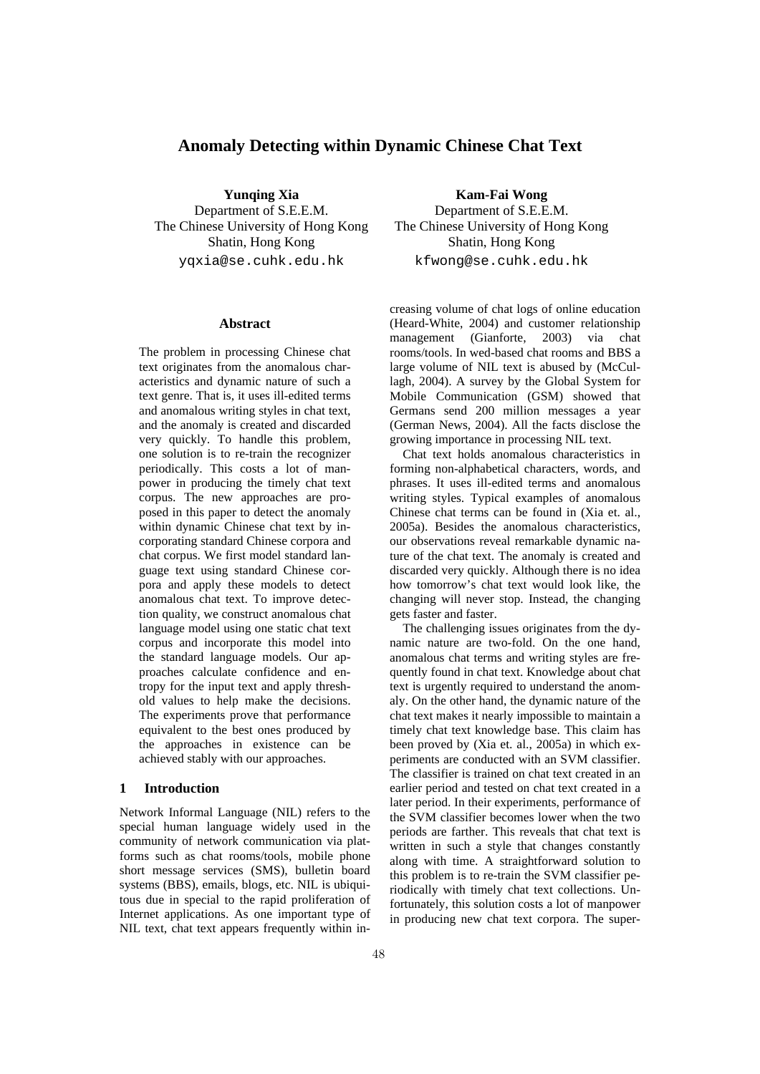# **Anomaly Detecting within Dynamic Chinese Chat Text**

**Yunqing Xia**  Department of S.E.E.M. The Chinese University of Hong Kong Shatin, Hong Kong yqxia@se.cuhk.edu.hk

#### **Abstract**

The problem in processing Chinese chat text originates from the anomalous characteristics and dynamic nature of such a text genre. That is, it uses ill-edited terms and anomalous writing styles in chat text, and the anomaly is created and discarded very quickly. To handle this problem, one solution is to re-train the recognizer periodically. This costs a lot of manpower in producing the timely chat text corpus. The new approaches are proposed in this paper to detect the anomaly within dynamic Chinese chat text by incorporating standard Chinese corpora and chat corpus. We first model standard language text using standard Chinese corpora and apply these models to detect anomalous chat text. To improve detection quality, we construct anomalous chat language model using one static chat text corpus and incorporate this model into the standard language models. Our approaches calculate confidence and entropy for the input text and apply threshold values to help make the decisions. The experiments prove that performance equivalent to the best ones produced by the approaches in existence can be achieved stably with our approaches.

## **1 Introduction**

Network Informal Language (NIL) refers to the special human language widely used in the community of network communication via platforms such as chat rooms/tools, mobile phone short message services (SMS), bulletin board systems (BBS), emails, blogs, etc. NIL is ubiquitous due in special to the rapid proliferation of Internet applications. As one important type of NIL text, chat text appears frequently within in-

**Kam-Fai Wong**  Department of S.E.E.M. The Chinese University of Hong Kong Shatin, Hong Kong kfwong@se.cuhk.edu.hk

creasing volume of chat logs of online education (Heard-White, 2004) and customer relationship<br>management (Gianforte, 2003) via chat management (Gianforte, 2003) via chat rooms/tools. In wed-based chat rooms and BBS a large volume of NIL text is abused by (McCullagh, 2004). A survey by the Global System for Mobile Communication (GSM) showed that Germans send 200 million messages a year (German News, 2004). All the facts disclose the growing importance in processing NIL text.

Chat text holds anomalous characteristics in forming non-alphabetical characters, words, and phrases. It uses ill-edited terms and anomalous writing styles. Typical examples of anomalous Chinese chat terms can be found in (Xia et. al., 2005a). Besides the anomalous characteristics, our observations reveal remarkable dynamic nature of the chat text. The anomaly is created and discarded very quickly. Although there is no idea how tomorrow's chat text would look like, the changing will never stop. Instead, the changing gets faster and faster.

The challenging issues originates from the dynamic nature are two-fold. On the one hand, anomalous chat terms and writing styles are frequently found in chat text. Knowledge about chat text is urgently required to understand the anomaly. On the other hand, the dynamic nature of the chat text makes it nearly impossible to maintain a timely chat text knowledge base. This claim has been proved by (Xia et. al., 2005a) in which experiments are conducted with an SVM classifier. The classifier is trained on chat text created in an earlier period and tested on chat text created in a later period. In their experiments, performance of the SVM classifier becomes lower when the two periods are farther. This reveals that chat text is written in such a style that changes constantly along with time. A straightforward solution to this problem is to re-train the SVM classifier periodically with timely chat text collections. Unfortunately, this solution costs a lot of manpower in producing new chat text corpora. The super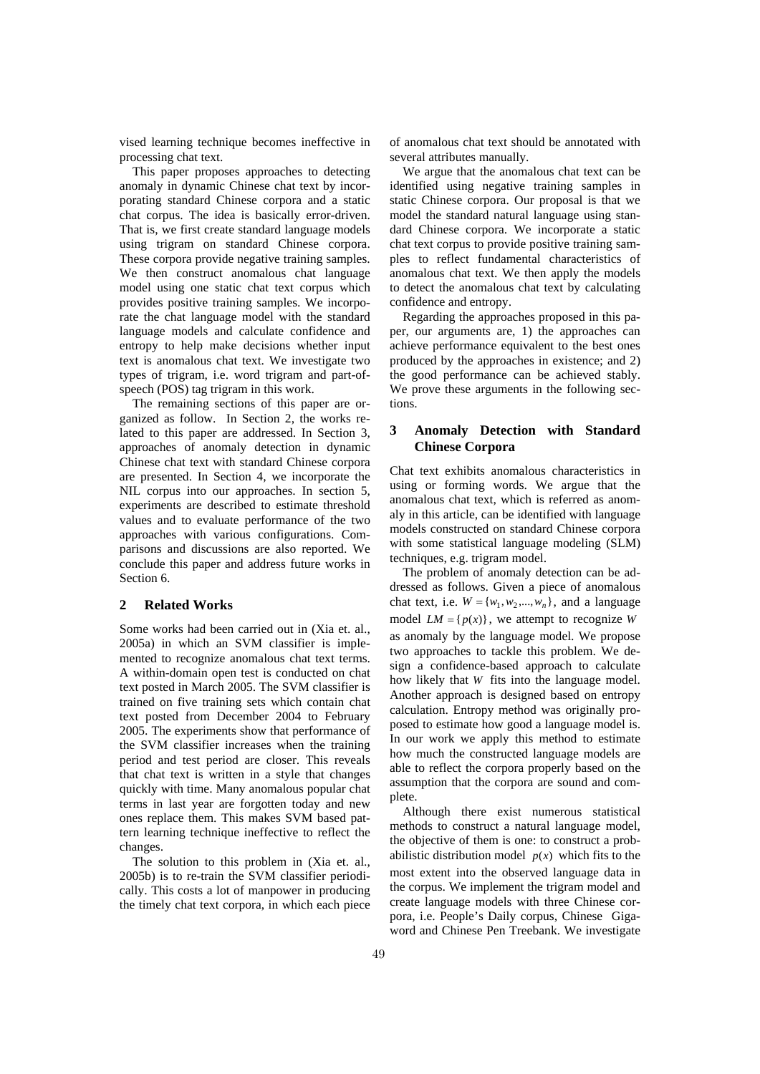vised learning technique becomes ineffective in processing chat text.

This paper proposes approaches to detecting anomaly in dynamic Chinese chat text by incorporating standard Chinese corpora and a static chat corpus. The idea is basically error-driven. That is, we first create standard language models using trigram on standard Chinese corpora. These corpora provide negative training samples. We then construct anomalous chat language model using one static chat text corpus which provides positive training samples. We incorporate the chat language model with the standard language models and calculate confidence and entropy to help make decisions whether input text is anomalous chat text. We investigate two types of trigram, i.e. word trigram and part-ofspeech (POS) tag trigram in this work.

The remaining sections of this paper are organized as follow. In Section 2, the works related to this paper are addressed. In Section 3, approaches of anomaly detection in dynamic Chinese chat text with standard Chinese corpora are presented. In Section 4, we incorporate the NIL corpus into our approaches. In section 5, experiments are described to estimate threshold values and to evaluate performance of the two approaches with various configurations. Comparisons and discussions are also reported. We conclude this paper and address future works in Section 6.

#### **2 Related Works**

Some works had been carried out in (Xia et. al., 2005a) in which an SVM classifier is implemented to recognize anomalous chat text terms. A within-domain open test is conducted on chat text posted in March 2005. The SVM classifier is trained on five training sets which contain chat text posted from December 2004 to February 2005. The experiments show that performance of the SVM classifier increases when the training period and test period are closer. This reveals that chat text is written in a style that changes quickly with time. Many anomalous popular chat terms in last year are forgotten today and new ones replace them. This makes SVM based pattern learning technique ineffective to reflect the changes.

The solution to this problem in (Xia et. al., 2005b) is to re-train the SVM classifier periodically. This costs a lot of manpower in producing the timely chat text corpora, in which each piece of anomalous chat text should be annotated with several attributes manually.

We argue that the anomalous chat text can be identified using negative training samples in static Chinese corpora. Our proposal is that we model the standard natural language using standard Chinese corpora. We incorporate a static chat text corpus to provide positive training samples to reflect fundamental characteristics of anomalous chat text. We then apply the models to detect the anomalous chat text by calculating confidence and entropy.

Regarding the approaches proposed in this paper, our arguments are, 1) the approaches can achieve performance equivalent to the best ones produced by the approaches in existence; and 2) the good performance can be achieved stably. We prove these arguments in the following sections.

# **3 Anomaly Detection with Standard Chinese Corpora**

Chat text exhibits anomalous characteristics in using or forming words. We argue that the anomalous chat text, which is referred as anomaly in this article, can be identified with language models constructed on standard Chinese corpora with some statistical language modeling (SLM) techniques, e.g. trigram model.

The problem of anomaly detection can be addressed as follows. Given a piece of anomalous chat text, i.e.  $W = \{w_1, w_2, ..., w_n\}$ , and a language model  $LM = \{p(x)\}\)$ , we attempt to recognize *W* as anomaly by the language model. We propose two approaches to tackle this problem. We design a confidence-based approach to calculate how likely that *W* fits into the language model. Another approach is designed based on entropy calculation. Entropy method was originally proposed to estimate how good a language model is. In our work we apply this method to estimate how much the constructed language models are able to reflect the corpora properly based on the assumption that the corpora are sound and complete.

Although there exist numerous statistical methods to construct a natural language model, the objective of them is one: to construct a probabilistic distribution model  $p(x)$  which fits to the most extent into the observed language data in the corpus. We implement the trigram model and create language models with three Chinese corpora, i.e. People's Daily corpus, Chinese Gigaword and Chinese Pen Treebank. We investigate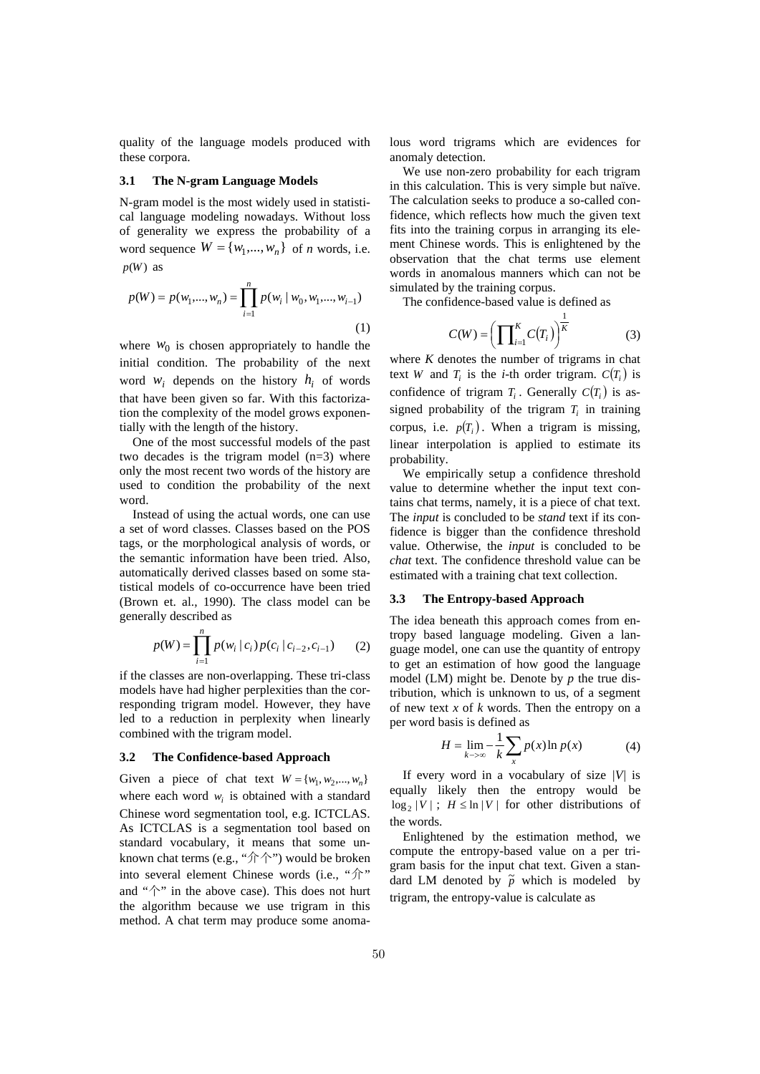quality of the language models produced with these corpora.

#### **3.1 The N-gram Language Models**

N-gram model is the most widely used in statistical language modeling nowadays. Without loss of generality we express the probability of a word sequence  $W = \{w_1, ..., w_n\}$  of *n* words, i.e.  $p(W)$  as

$$
p(W) = p(w_1, ..., w_n) = \prod_{i=1}^n p(w_i \mid w_0, w_1, ..., w_{i-1})
$$
\n(1)

where  $w_0$  is chosen appropriately to handle the initial condition. The probability of the next word  $w_i$  depends on the history  $h_i$  of words that have been given so far. With this factorization the complexity of the model grows exponentially with the length of the history.

One of the most successful models of the past two decades is the trigram model (n=3) where only the most recent two words of the history are used to condition the probability of the next word.

Instead of using the actual words, one can use a set of word classes. Classes based on the POS tags, or the morphological analysis of words, or the semantic information have been tried. Also, automatically derived classes based on some statistical models of co-occurrence have been tried (Brown et. al., 1990). The class model can be generally described as

$$
p(W) = \prod_{i=1}^{n} p(w_i | c_i) p(c_i | c_{i-2}, c_{i-1})
$$
 (2)

if the classes are non-overlapping. These tri-class models have had higher perplexities than the corresponding trigram model. However, they have led to a reduction in perplexity when linearly combined with the trigram model.

#### **3.2 The Confidence-based Approach**

Given a piece of chat text  $W = \{w_1, w_2, ..., w_n\}$ where each word  $w_i$  is obtained with a standard Chinese word segmentation tool, e.g. ICTCLAS. As ICTCLAS is a segmentation tool based on standard vocabulary, it means that some unknown chat terms (e.g., "介个") would be broken into several element Chinese words (i.e., "介" and " $\uparrow$ " in the above case). This does not hurt the algorithm because we use trigram in this method. A chat term may produce some anomalous word trigrams which are evidences for anomaly detection.

We use non-zero probability for each trigram in this calculation. This is very simple but naïve. The calculation seeks to produce a so-called confidence, which reflects how much the given text fits into the training corpus in arranging its element Chinese words. This is enlightened by the observation that the chat terms use element words in anomalous manners which can not be simulated by the training corpus.

The confidence-based value is defined as

$$
C(W) = \left(\prod_{i=1}^{K} C(T_i)\right)^{\frac{1}{K}} \tag{3}
$$

where *K* denotes the number of trigrams in chat text *W* and  $T_i$  is the *i*-th order trigram.  $C(T_i)$  is confidence of trigram  $T_i$ . Generally  $C(T_i)$  is assigned probability of the trigram  $T_i$  in training corpus, i.e.  $p(T_i)$ . When a trigram is missing, linear interpolation is applied to estimate its probability.

We empirically setup a confidence threshold value to determine whether the input text contains chat terms, namely, it is a piece of chat text. The *input* is concluded to be *stand* text if its confidence is bigger than the confidence threshold value. Otherwise, the *input* is concluded to be *chat* text. The confidence threshold value can be estimated with a training chat text collection.

### **3.3 The Entropy-based Approach**

The idea beneath this approach comes from entropy based language modeling. Given a language model, one can use the quantity of entropy to get an estimation of how good the language model (LM) might be. Denote by *p* the true distribution, which is unknown to us, of a segment of new text *x* of *k* words. Then the entropy on a per word basis is defined as

$$
H = \lim_{k \to \infty} -\frac{1}{k} \sum_{x} p(x) \ln p(x) \tag{4}
$$

If every word in a vocabulary of size *|V|* is equally likely then the entropy would be  $\log_2 |V|$ ;  $H \leq \ln |V|$  for other distributions of the words.

Enlightened by the estimation method, we compute the entropy-based value on a per trigram basis for the input chat text. Given a standard LM denoted by  $\tilde{p}$  which is modeled by trigram, the entropy-value is calculate as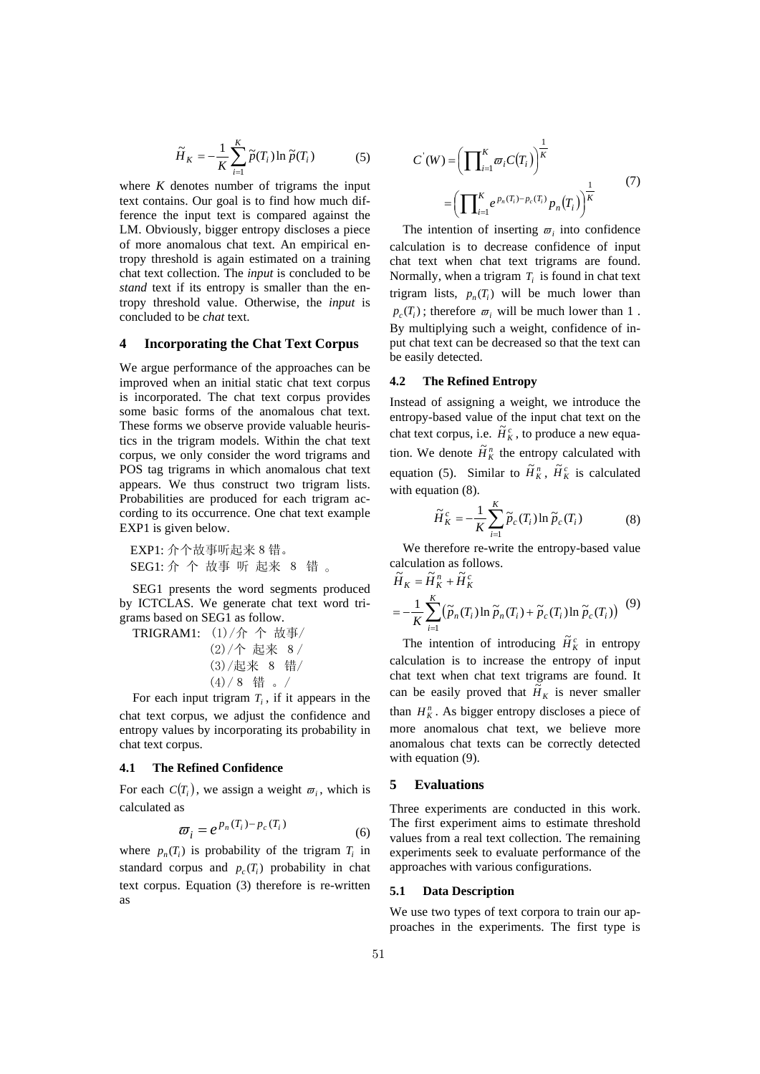$$
\widetilde{H}_K = -\frac{1}{K} \sum_{i=1}^K \widetilde{p}(T_i) \ln \widetilde{p}(T_i)
$$
 (5)

where *K* denotes number of trigrams the input text contains. Our goal is to find how much difference the input text is compared against the LM. Obviously, bigger entropy discloses a piece of more anomalous chat text. An empirical entropy threshold is again estimated on a training chat text collection. The *input* is concluded to be *stand* text if its entropy is smaller than the entropy threshold value. Otherwise, the *input* is concluded to be *chat* text.

### **4 Incorporating the Chat Text Corpus**

We argue performance of the approaches can be improved when an initial static chat text corpus is incorporated. The chat text corpus provides some basic forms of the anomalous chat text. These forms we observe provide valuable heuristics in the trigram models. Within the chat text corpus, we only consider the word trigrams and POS tag trigrams in which anomalous chat text appears. We thus construct two trigram lists. Probabilities are produced for each trigram according to its occurrence. One chat text example EXP1 is given below.

EXP1: 介个故事听起来8错。 SEG1: 介 个 故事 听 起来 8 错 。

SEG1 presents the word segments produced by ICTCLAS. We generate chat text word trigrams based on SEG1 as follow.

TRIGRAM1: (1)/介 个 故事/ (2)/个 起来 8/ (3)/起来 8 错/ (4)/8 错 。/

For each input trigram  $T_i$ , if it appears in the chat text corpus, we adjust the confidence and entropy values by incorporating its probability in chat text corpus.

### **4.1 The Refined Confidence**

For each  $C(T_i)$ , we assign a weight  $\varpi_i$ , which is calculated as

$$
\varpi_i = e^{p_n(T_i) - p_c(T_i)}
$$
\n(6)

where  $p_n(T_i)$  is probability of the trigram  $T_i$  in standard corpus and  $p_c(T_i)$  probability in chat text corpus. Equation (3) therefore is re-written as

$$
C(W) = \left(\prod_{i=1}^{K} \varpi_i C(T_i)\right)^{\frac{1}{K}}
$$

$$
= \left(\prod_{i=1}^{K} e^{p_n(T_i) - p_c(T_i)} p_n(T_i)\right)^{\frac{1}{K}}
$$
(7)

The intention of inserting  $\varpi$ , into confidence calculation is to decrease confidence of input chat text when chat text trigrams are found. Normally, when a trigram  $T_i$  is found in chat text trigram lists,  $p_n(T_i)$  will be much lower than  $p_c(T_i)$ ; therefore  $\varpi_i$  will be much lower than 1. By multiplying such a weight, confidence of input chat text can be decreased so that the text can be easily detected.

### **4.2 The Refined Entropy**

Instead of assigning a weight, we introduce the entropy-based value of the input chat text on the chat text corpus, i.e.  $\tilde{H}_K^c$ , to produce a new equation. We denote  $\tilde{H}_K^n$  the entropy calculated with equation (5). Similar to  $\tilde{H}_K^n$ ,  $\tilde{H}_K^c$  is calculated with equation  $(8)$ .

$$
\widetilde{H}_K^c = -\frac{1}{K} \sum_{i=1}^K \widetilde{p}_c(T_i) \ln \widetilde{p}_c(T_i)
$$
 (8)

We therefore re-write the entropy-based value calculation as follows.<br> $\tilde{H}^n \rightarrow \tilde{H}^c$ 

$$
\widetilde{H}_K = \widetilde{H}_K^n + \widetilde{H}_K^c
$$
\n
$$
= -\frac{1}{K} \sum_{i=1}^K \left( \widetilde{p}_n(T_i) \ln \widetilde{p}_n(T_i) + \widetilde{p}_c(T_i) \ln \widetilde{p}_c(T_i) \right) \tag{9}
$$

The intention of introducing  $\tilde{H}_K^c$  in entropy calculation is to increase the entropy of input chat text when chat text trigrams are found. It can be easily proved that  $\tilde{H}_K$  is never smaller than  $H_K^n$ . As bigger entropy discloses a piece of more anomalous chat text, we believe more anomalous chat texts can be correctly detected with equation (9).

#### **5 Evaluations**

Three experiments are conducted in this work. The first experiment aims to estimate threshold values from a real text collection. The remaining experiments seek to evaluate performance of the approaches with various configurations.

#### **5.1 Data Description**

We use two types of text corpora to train our approaches in the experiments. The first type is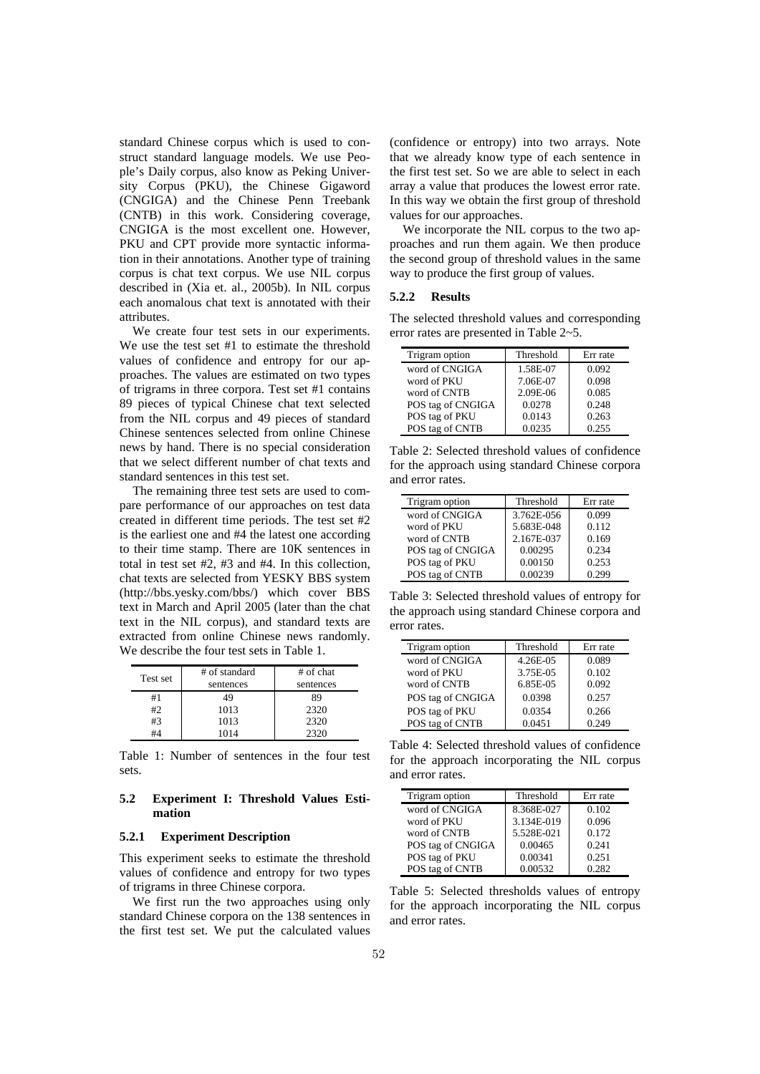standard Chinese corpus which is used to construct standard language models. We use People's Daily corpus, also know as Peking University Corpus (PKU), the Chinese Gigaword (CNGIGA) and the Chinese Penn Treebank (CNTB) in this work. Considering coverage, CNGIGA is the most excellent one. However, PKU and CPT provide more syntactic information in their annotations. Another type of training corpus is chat text corpus. We use NIL corpus described in (Xia et. al., 2005b). In NIL corpus each anomalous chat text is annotated with their attributes.

We create four test sets in our experiments. We use the test set #1 to estimate the threshold values of confidence and entropy for our approaches. The values are estimated on two types of trigrams in three corpora. Test set #1 contains 89 pieces of typical Chinese chat text selected from the NIL corpus and 49 pieces of standard Chinese sentences selected from online Chinese news by hand. There is no special consideration that we select different number of chat texts and standard sentences in this test set.

The remaining three test sets are used to compare performance of our approaches on test data created in different time periods. The test set #2 is the earliest one and #4 the latest one according to their time stamp. There are 10K sentences in total in test set #2, #3 and #4. In this collection, chat texts are selected from YESKY BBS system (http://bbs.yesky.com/bbs/) which cover BBS text in March and April 2005 (later than the chat text in the NIL corpus), and standard texts are extracted from online Chinese news randomly. We describe the four test sets in Table 1.

| Test set | # of standard<br>sentences | # of chat<br>sentences |
|----------|----------------------------|------------------------|
| #1       | 49                         | 89                     |
| #2       | 1013                       | 2320                   |
| #3       | 1013                       | 2320                   |
|          | 1014                       | 2320                   |

Table 1: Number of sentences in the four test sets.

### **5.2 Experiment I: Threshold Values Estimation**

### **5.2.1 Experiment Description**

This experiment seeks to estimate the threshold values of confidence and entropy for two types of trigrams in three Chinese corpora.

We first run the two approaches using only standard Chinese corpora on the 138 sentences in the first test set. We put the calculated values (confidence or entropy) into two arrays. Note that we already know type of each sentence in the first test set. So we are able to select in each array a value that produces the lowest error rate. In this way we obtain the first group of threshold values for our approaches.

We incorporate the NIL corpus to the two approaches and run them again. We then produce the second group of threshold values in the same way to produce the first group of values.

#### **5.2.2 Results**

The selected threshold values and corresponding error rates are presented in Table 2~5.

| Trigram option    | Threshold | Err rate |
|-------------------|-----------|----------|
| word of CNGIGA    | 1.58E-07  | 0.092    |
| word of PKU       | 7.06E-07  | 0.098    |
| word of CNTB      | 2.09E-06  | 0.085    |
| POS tag of CNGIGA | 0.0278    | 0.248    |
| POS tag of PKU    | 0.0143    | 0.263    |
| POS tag of CNTB   | 0.0235    | 0.255    |

Table 2: Selected threshold values of confidence for the approach using standard Chinese corpora and error rates.

| Trigram option    | Threshold  | Err rate |
|-------------------|------------|----------|
| word of CNGIGA    | 3.762E-056 | 0.099    |
| word of PKU       | 5.683E-048 | 0.112    |
| word of CNTB      | 2.167E-037 | 0.169    |
| POS tag of CNGIGA | 0.00295    | 0.234    |
| POS tag of PKU    | 0.00150    | 0.253    |
| POS tag of CNTB   | 0.00239    | 0.299    |

Table 3: Selected threshold values of entropy for the approach using standard Chinese corpora and error rates.

| Trigram option    | Threshold | Err rate |
|-------------------|-----------|----------|
| word of CNGIGA    | 4.26E-05  | 0.089    |
| word of PKU       | 3.75E-05  | 0.102    |
| word of CNTB      | 6.85E-05  | 0.092    |
| POS tag of CNGIGA | 0.0398    | 0.257    |
| POS tag of PKU    | 0.0354    | 0.266    |
| POS tag of CNTB   | 0.0451    | 0.249    |

Table 4: Selected threshold values of confidence for the approach incorporating the NIL corpus and error rates.

| Trigram option    | Threshold  | Err rate |
|-------------------|------------|----------|
| word of CNGIGA    | 8.368E-027 | 0.102    |
| word of PKU       | 3.134E-019 | 0.096    |
| word of CNTB      | 5.528E-021 | 0.172    |
| POS tag of CNGIGA | 0.00465    | 0.241    |
| POS tag of PKU    | 0.00341    | 0.251    |
| POS tag of CNTB   | 0.00532    | 0.282    |

Table 5: Selected thresholds values of entropy for the approach incorporating the NIL corpus and error rates.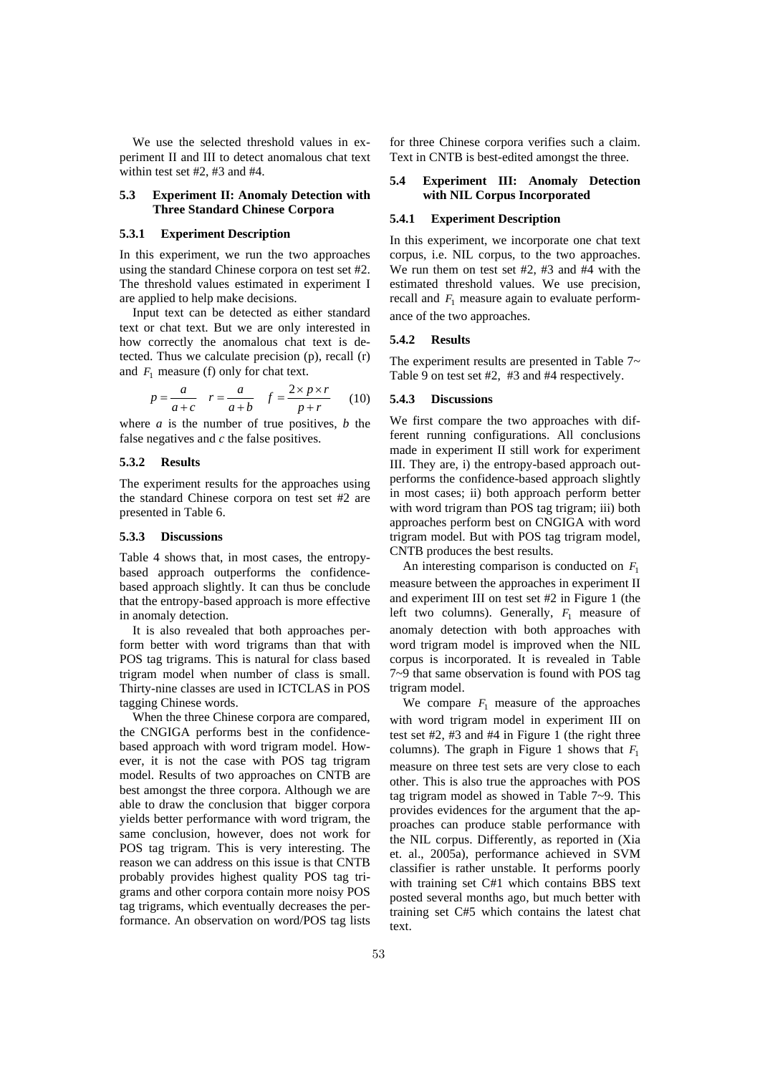We use the selected threshold values in experiment II and III to detect anomalous chat text within test set #2, #3 and #4.

### **5.3 Experiment II: Anomaly Detection with Three Standard Chinese Corpora**

#### **5.3.1 Experiment Description**

In this experiment, we run the two approaches using the standard Chinese corpora on test set #2. The threshold values estimated in experiment I are applied to help make decisions.

Input text can be detected as either standard text or chat text. But we are only interested in how correctly the anomalous chat text is detected. Thus we calculate precision (p), recall (r) and  $F_1$  measure (f) only for chat text.

$$
p = \frac{a}{a+c} \quad r = \frac{a}{a+b} \quad f = \frac{2 \times p \times r}{p+r} \tag{10}
$$

where *a* is the number of true positives, *b* the false negatives and *c* the false positives.

### **5.3.2 Results**

The experiment results for the approaches using the standard Chinese corpora on test set #2 are presented in Table 6.

### **5.3.3 Discussions**

Table 4 shows that, in most cases, the entropybased approach outperforms the confidencebased approach slightly. It can thus be conclude that the entropy-based approach is more effective in anomaly detection.

It is also revealed that both approaches perform better with word trigrams than that with POS tag trigrams. This is natural for class based trigram model when number of class is small. Thirty-nine classes are used in ICTCLAS in POS tagging Chinese words.

When the three Chinese corpora are compared, the CNGIGA performs best in the confidencebased approach with word trigram model. However, it is not the case with POS tag trigram model. Results of two approaches on CNTB are best amongst the three corpora. Although we are able to draw the conclusion that bigger corpora yields better performance with word trigram, the same conclusion, however, does not work for POS tag trigram. This is very interesting. The reason we can address on this issue is that CNTB probably provides highest quality POS tag trigrams and other corpora contain more noisy POS tag trigrams, which eventually decreases the performance. An observation on word/POS tag lists for three Chinese corpora verifies such a claim. Text in CNTB is best-edited amongst the three.

## **5.4 Experiment III: Anomaly Detection with NIL Corpus Incorporated**

#### **5.4.1 Experiment Description**

In this experiment, we incorporate one chat text corpus, i.e. NIL corpus, to the two approaches. We run them on test set #2, #3 and #4 with the estimated threshold values. We use precision, recall and  $F_1$  measure again to evaluate performance of the two approaches.

#### **5.4.2 Results**

The experiment results are presented in Table 7~ Table 9 on test set #2, #3 and #4 respectively.

#### **5.4.3 Discussions**

We first compare the two approaches with different running configurations. All conclusions made in experiment II still work for experiment III. They are, i) the entropy-based approach outperforms the confidence-based approach slightly in most cases; ii) both approach perform better with word trigram than POS tag trigram; iii) both approaches perform best on CNGIGA with word trigram model. But with POS tag trigram model, CNTB produces the best results.

An interesting comparison is conducted on *F*<sup>1</sup> measure between the approaches in experiment II and experiment III on test set #2 in Figure 1 (the left two columns). Generally,  $F_1$  measure of anomaly detection with both approaches with word trigram model is improved when the NIL corpus is incorporated. It is revealed in Table 7~9 that same observation is found with POS tag trigram model.

We compare  $F_1$  measure of the approaches with word trigram model in experiment III on test set #2, #3 and #4 in Figure 1 (the right three columns). The graph in Figure 1 shows that  $F_1$ measure on three test sets are very close to each other. This is also true the approaches with POS tag trigram model as showed in Table 7~9. This provides evidences for the argument that the approaches can produce stable performance with the NIL corpus. Differently, as reported in (Xia et. al., 2005a), performance achieved in SVM classifier is rather unstable. It performs poorly with training set C#1 which contains BBS text posted several months ago, but much better with training set C#5 which contains the latest chat text.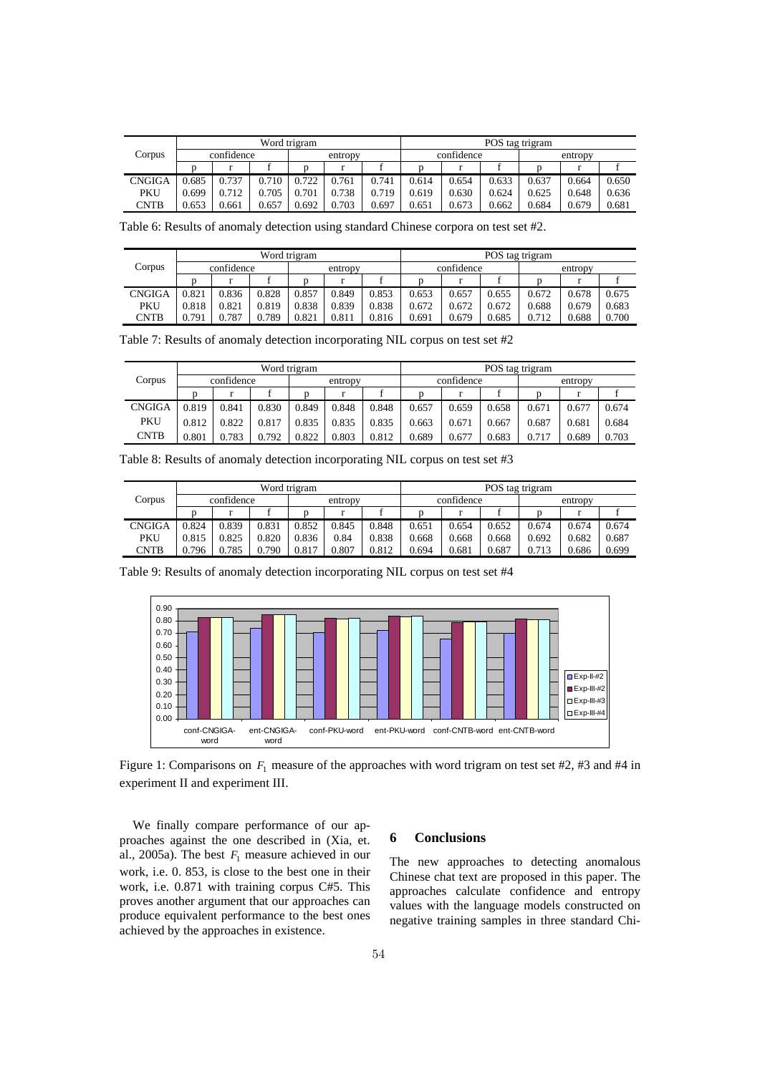|                      | Word trigram |       |         |       |       |            |       | POS tag trigram |         |       |       |       |  |
|----------------------|--------------|-------|---------|-------|-------|------------|-------|-----------------|---------|-------|-------|-------|--|
| Corpus<br>confidence |              |       | entropy |       |       | confidence |       |                 | entropy |       |       |       |  |
|                      |              |       |         |       |       |            |       |                 |         |       |       |       |  |
| <b>CNGIGA</b>        | 0.685        | 0.737 | 0.710   | 0.722 | 0.761 | 0.741      | 0.614 | 0.654           | 0.633   | 0.637 | 0.664 | 0.650 |  |
| PKU                  | 0.699        | 0.712 | .705    | 0.701 | 0.738 | 0.719      | 0.619 | 0.630           | 0.624   | 0.625 | 0.648 | 0.636 |  |
| CNTB                 | 0.653        | 0.661 | 0.657   | 0.692 | 0.703 | 0.697      | 0.651 | 0.673           | 0.662   | 0.684 | 0.679 | 0.681 |  |

Table 6: Results of anomaly detection using standard Chinese corpora on test set #2.

|               | Word trigram |       |       |         |       |       |            | POS tag trigram |       |         |       |       |  |
|---------------|--------------|-------|-------|---------|-------|-------|------------|-----------------|-------|---------|-------|-------|--|
| Corpus        | confidence   |       |       | entropy |       |       | confidence |                 |       | entropy |       |       |  |
|               |              |       |       |         |       |       |            |                 |       |         |       |       |  |
| <b>CNGIGA</b> | 0.821        | 0.836 | 0.828 | 0.857   | 0.849 | 0.853 | 0.653      | 0.657           | 0.655 | 0.672   | 0.678 | 0.675 |  |
| PKU           | 0.818        | 0.821 | 0.819 | 0.838   | 0.839 | 0.838 | 0.672      | 0.672           | 0.672 | 0.688   | 0.679 | 0.683 |  |
| CNTB          | 0.791        | 0.787 | 0.789 | 0.821   | 0.811 | 0.816 | 0.691      | 0.679           | 0.685 | 0.712   | 0.688 | 0.700 |  |

Table 7: Results of anomaly detection incorporating NIL corpus on test set #2

|               | Word trigram |       |       |         |           |       |            | POS tag trigram |       |         |       |       |  |
|---------------|--------------|-------|-------|---------|-----------|-------|------------|-----------------|-------|---------|-------|-------|--|
| Corpus        | confidence   |       |       | entropy |           |       | confidence |                 |       | entropy |       |       |  |
|               |              |       |       |         | $\bullet$ |       |            |                 |       |         |       |       |  |
| <b>CNGIGA</b> | 0.819        | 0.841 | 0.830 | 0.849   | 0.848     | 0.848 | 0.657      | 0.659           | 0.658 | 0.671   | 0.677 | 0.674 |  |
| <b>PKU</b>    | 0.812        | 0.822 | 0.817 | 0.835   | 0.835     | 0.835 | 0.663      | 0.671           | 0.667 | 0.687   | 0.681 | 0.684 |  |
| <b>CNTB</b>   | 0.801        | 0.783 | 0.792 | 0.822   | 0.803     | 0.812 | 0.689      | 0.677           | 0.683 | 0.717   | 0.689 | 0.703 |  |

|               | Word trigram |       |         |       |       |            |       | POS tag trigram |         |       |       |       |  |
|---------------|--------------|-------|---------|-------|-------|------------|-------|-----------------|---------|-------|-------|-------|--|
| Corpus        | confidence   |       | entropy |       |       | confidence |       |                 | entropy |       |       |       |  |
|               |              |       |         |       |       |            |       |                 |         |       |       |       |  |
| <b>CNGIGA</b> | 0.824        | 0.839 | 0.831   | 0.852 | 0.845 | 0.848      | 0.651 | 0.654           | 0.652   | 0.674 | 0.674 | 0.674 |  |
| PKU           | 0.815        | 0.825 | 0.820   | 0.836 | 0.84  | 0.838      | 0.668 | 0.668           | 0.668   | 0.692 | 0.682 | 0.687 |  |
| <b>CNTB</b>   | 0.796        | 0.785 | 0.790   | 0.817 | 0.807 | 0.812      | 0.694 | 0.681           | 0.687   | 0.713 | 0.686 | 0.699 |  |

Table 8: Results of anomaly detection incorporating NIL corpus on test set #3



Table 9: Results of anomaly detection incorporating NIL corpus on test set #4

Figure 1: Comparisons on  $F_1$  measure of the approaches with word trigram on test set #2, #3 and #4 in experiment II and experiment III.

We finally compare performance of our approaches against the one described in (Xia, et. al., 2005a). The best  $F_1$  measure achieved in our work, i.e. 0. 853, is close to the best one in their work, i.e. 0.871 with training corpus C#5. This proves another argument that our approaches can produce equivalent performance to the best ones achieved by the approaches in existence.

### **6 Conclusions**

The new approaches to detecting anomalous Chinese chat text are proposed in this paper. The approaches calculate confidence and entropy values with the language models constructed on negative training samples in three standard Chi